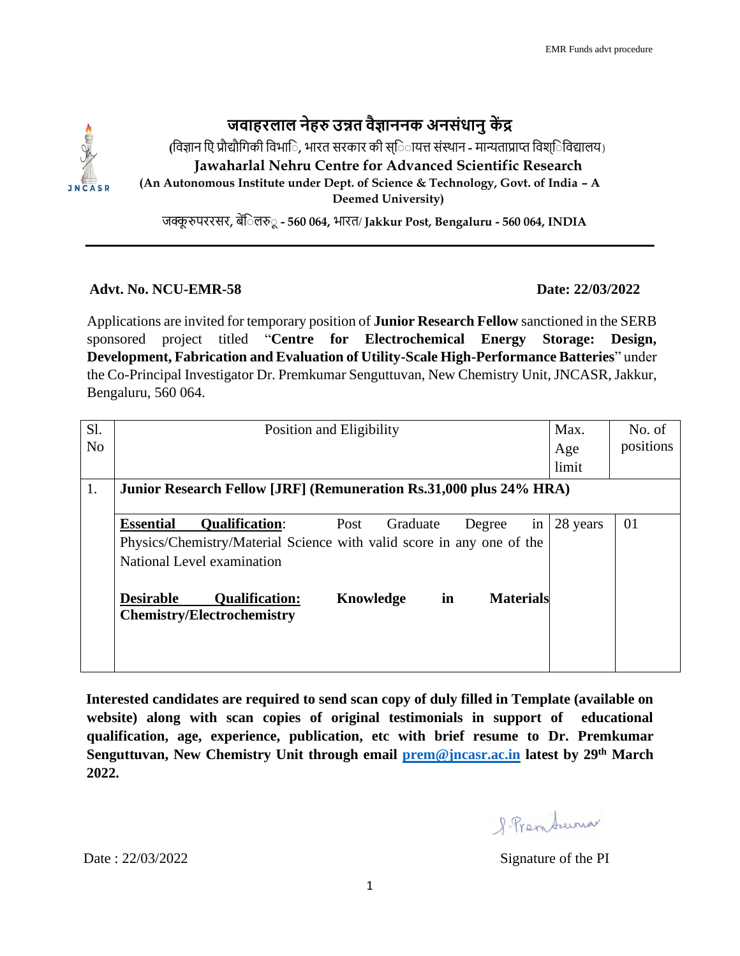## **जवाहरलाल नेहरु उन्नत वैज्ञाननक अनसंधानुकें द्र**

**(**विज्ञान व िं प्रौद्यौविकी विभाव **,** भारत सरकार की स्व ायत्त सिंस्थान **-** मान्यताप्राप्त विश्व विद्यालय) **Jawaharlal Nehru Centre for Advanced Scientific Research (An Autonomous Institute under Dept. of Science & Technology, Govt. of India – A Deemed University)** 

जक्कू रुपररसर**,** बेंव लरु ू**- 560 064,** भारत/ **Jakkur Post, Bengaluru - 560 064, INDIA** 

## **Advt. No. NCU-EMR-58 Date: 22/03/2022**

Applications are invited for temporary position of **Junior Research Fellow** sanctioned in the SERB sponsored project titled "**Centre for Electrochemical Energy Storage: Design, Development, Fabrication and Evaluation of Utility-Scale High-Performance Batteries**" under the Co-Principal Investigator Dr. Premkumar Senguttuvan, New Chemistry Unit, JNCASR, Jakkur, Bengaluru, 560 064.

| Sl.<br>N <sub>o</sub> | Position and Eligibility                                                                                                                                                             | Max.<br>Age<br>limit | No. of<br>positions |  |
|-----------------------|--------------------------------------------------------------------------------------------------------------------------------------------------------------------------------------|----------------------|---------------------|--|
| 1.                    | Junior Research Fellow [JRF] (Remuneration Rs.31,000 plus 24% HRA)                                                                                                                   |                      |                     |  |
|                       | <b>Essential</b><br><b>Oualification:</b><br>Graduate<br>Post<br>Degree<br>in<br>Physics/Chemistry/Material Science with valid score in any one of the<br>National Level examination | 28 years             | 01                  |  |
|                       | in<br><b>Materials</b><br><b>Desirable</b><br>Knowledge<br><b>Qualification:</b><br><b>Chemistry/Electrochemistry</b>                                                                |                      |                     |  |

**Interested candidates are required to send scan copy of duly filled in Template (available on website) along with scan copies of original testimonials in support of educational qualification, age, experience, publication, etc with brief resume to Dr. Premkumar Senguttuvan, New Chemistry Unit through email [prem@jncasr.ac.in](mailto:prem@jncasr.ac.in) latest by 29th March 2022.**

8 Premburna

Date :  $22/03/2022$  Signature of the PI